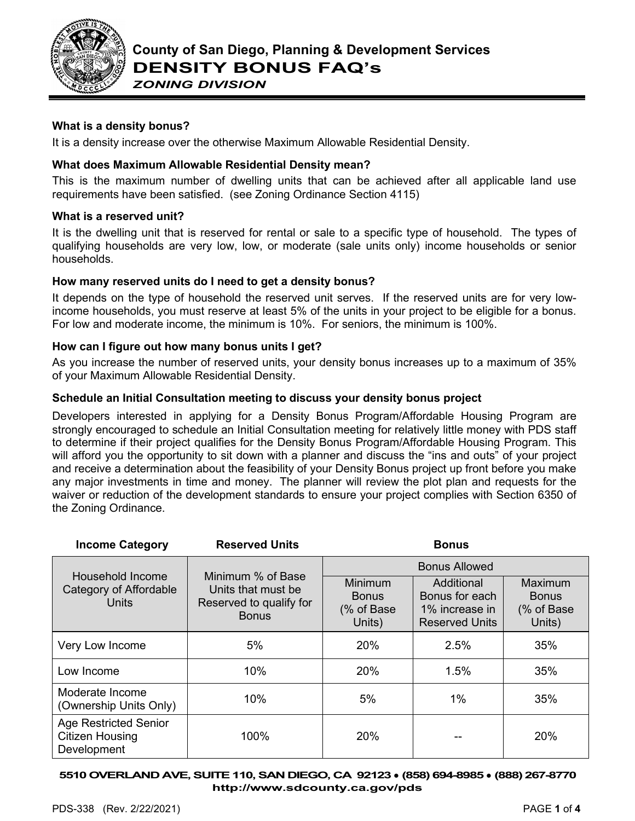

*ZONING DIVISION*

# **What is a density bonus?**

It is a density increase over the otherwise Maximum Allowable Residential Density.

# **What does Maximum Allowable Residential Density mean?**

This is the maximum number of dwelling units that can be achieved after all applicable land use requirements have been satisfied. (see Zoning Ordinance Section 4115)

## **What is a reserved unit?**

It is the dwelling unit that is reserved for rental or sale to a specific type of household. The types of qualifying households are very low, low, or moderate (sale units only) income households or senior households.

## **How many reserved units do I need to get a density bonus?**

It depends on the type of household the reserved unit serves. If the reserved units are for very lowincome households, you must reserve at least 5% of the units in your project to be eligible for a bonus. For low and moderate income, the minimum is 10%. For seniors, the minimum is 100%.

# **How can I figure out how many bonus units I get?**

As you increase the number of reserved units, your density bonus increases up to a maximum of 35% of your Maximum Allowable Residential Density.

# **Schedule an Initial Consultation meeting to discuss your density bonus project**

Developers interested in applying for a Density Bonus Program/Affordable Housing Program are strongly encouraged to schedule an Initial Consultation meeting for relatively little money with PDS staff to determine if their project qualifies for the Density Bonus Program/Affordable Housing Program. This will afford you the opportunity to sit down with a planner and discuss the "ins and outs" of your project and receive a determination about the feasibility of your Density Bonus project up front before you make any major investments in time and money. The planner will review the plot plan and requests for the waiver or reduction of the development standards to ensure your project complies with Section 6350 of the Zoning Ordinance.

| <b>Income Category</b>                                                | <b>Reserved Units</b>                                                              |                                                         | <b>Bonus</b>                                                            |                                                 |
|-----------------------------------------------------------------------|------------------------------------------------------------------------------------|---------------------------------------------------------|-------------------------------------------------------------------------|-------------------------------------------------|
|                                                                       |                                                                                    | <b>Bonus Allowed</b>                                    |                                                                         |                                                 |
| Household Income<br>Category of Affordable<br><b>Units</b>            | Minimum % of Base<br>Units that must be<br>Reserved to qualify for<br><b>Bonus</b> | <b>Minimum</b><br><b>Bonus</b><br>(% of Base)<br>Units) | Additional<br>Bonus for each<br>1% increase in<br><b>Reserved Units</b> | Maximum<br><b>Bonus</b><br>(% of Base<br>Units) |
| Very Low Income                                                       | 5%                                                                                 | 20%                                                     | 2.5%                                                                    | 35%                                             |
| Low Income                                                            | 10%                                                                                | 20%                                                     | 1.5%                                                                    | 35%                                             |
| Moderate Income<br>(Ownership Units Only)                             | 10%                                                                                | 5%                                                      | 1%                                                                      | 35%                                             |
| <b>Age Restricted Senior</b><br><b>Citizen Housing</b><br>Development | 100%                                                                               | 20%                                                     |                                                                         | 20%                                             |

**5510OVERLAND AVE, SUITE 110, SAN DIEGO, CA 92123** ● **(858) 694-8985** ● **(888) 267-8770 [http://www.sdcounty.ca.gov/pds](http://www.sdcpds.org/)**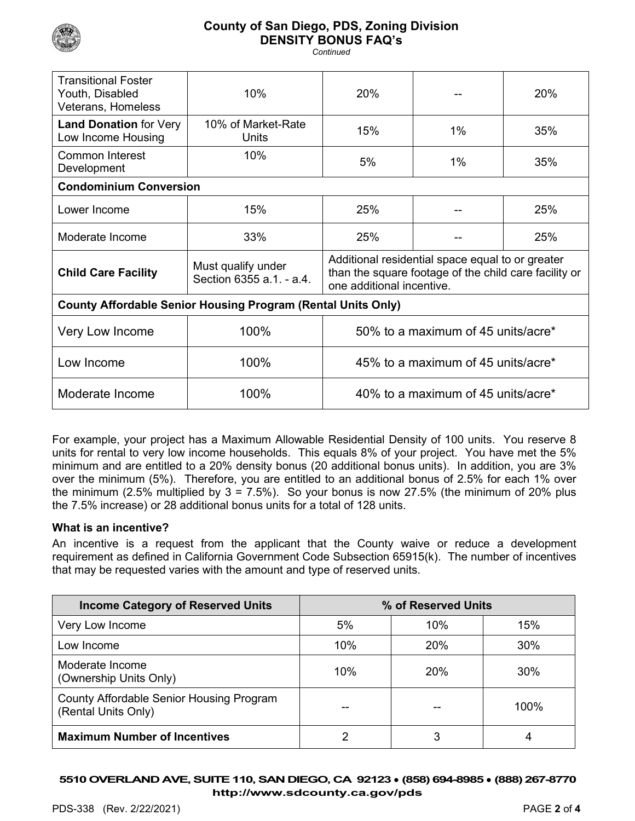

# **County of San Diego, PDS, Zoning Division DENSITY BONUS FAQ's**

*Continued*

| <b>Transitional Foster</b><br>Youth, Disabled<br>Veterans, Homeless | 10%                                            | 20%                                                                                                                                    |       | 20% |
|---------------------------------------------------------------------|------------------------------------------------|----------------------------------------------------------------------------------------------------------------------------------------|-------|-----|
| <b>Land Donation for Very</b><br>Low Income Housing                 | 10% of Market-Rate<br>Units                    | 15%                                                                                                                                    | $1\%$ | 35% |
| <b>Common Interest</b><br>Development                               | 10%                                            | 5%                                                                                                                                     | $1\%$ | 35% |
| <b>Condominium Conversion</b>                                       |                                                |                                                                                                                                        |       |     |
| Lower Income                                                        | 15%                                            | 25%                                                                                                                                    |       | 25% |
| Moderate Income                                                     | 33%                                            | 25%                                                                                                                                    |       | 25% |
| <b>Child Care Facility</b>                                          | Must qualify under<br>Section 6355 a.1. - a.4. | Additional residential space equal to or greater<br>than the square footage of the child care facility or<br>one additional incentive. |       |     |
| <b>County Affordable Senior Housing Program (Rental Units Only)</b> |                                                |                                                                                                                                        |       |     |
| Very Low Income                                                     | 100%                                           | 50% to a maximum of 45 units/acre*                                                                                                     |       |     |
| Low Income                                                          | 100%                                           | 45% to a maximum of 45 units/acre*                                                                                                     |       |     |
| Moderate Income                                                     | 100%                                           | 40% to a maximum of 45 units/acre*                                                                                                     |       |     |

For example, your project has a Maximum Allowable Residential Density of 100 units. You reserve 8 units for rental to very low income households. This equals 8% of your project. You have met the 5% minimum and are entitled to a 20% density bonus (20 additional bonus units). In addition, you are 3% over the minimum (5%). Therefore, you are entitled to an additional bonus of 2.5% for each 1% over the minimum (2.5% multiplied by  $3 = 7.5$ %). So your bonus is now 27.5% (the minimum of 20% plus the 7.5% increase) or 28 additional bonus units for a total of 128 units.

### **What is an incentive?**

An incentive is a request from the applicant that the County waive or reduce a development requirement as defined in California Government Code Subsection 65915(k). The number of incentives that may be requested varies with the amount and type of reserved units.

| <b>Income Category of Reserved Units</b>                        |     | % of Reserved Units |      |
|-----------------------------------------------------------------|-----|---------------------|------|
| Very Low Income                                                 | 5%  | 10%                 | 15%  |
| Low Income                                                      | 10% | 20%                 | 30%  |
| Moderate Income<br>(Ownership Units Only)                       | 10% | 20%                 | 30%  |
| County Affordable Senior Housing Program<br>(Rental Units Only) |     |                     | 100% |
| <b>Maximum Number of Incentives</b>                             | າ   | 3                   | 4    |

**5510OVERLAND AVE, SUITE 110, SAN DIEGO, CA 92123** ● **(858) 694-8985** ● **(888) 267-8770 [http://www.sdcounty.ca.gov/pds](http://www.sdcpds.org/)**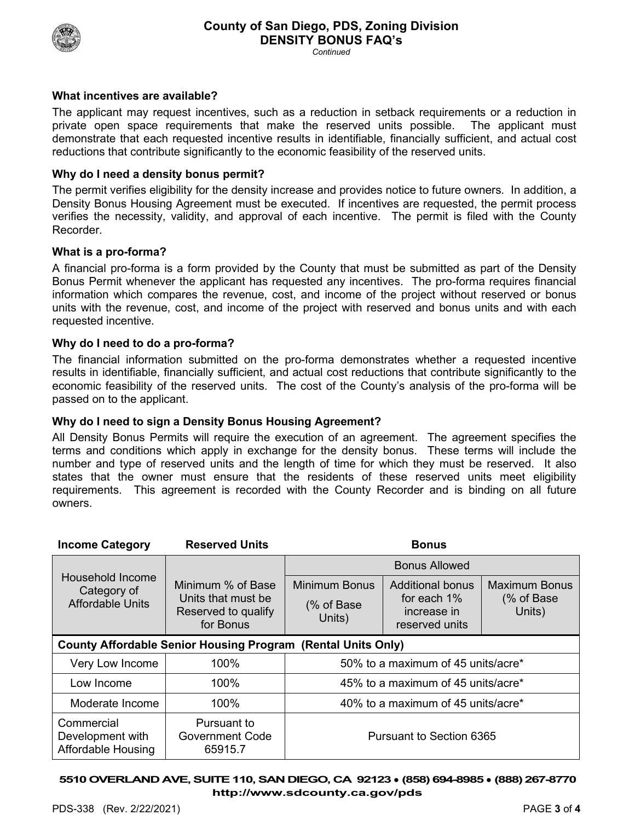

*Continued*

## **What incentives are available?**

The applicant may request incentives, such as a reduction in setback requirements or a reduction in private open space requirements that make the reserved units possible. The applicant must demonstrate that each requested incentive results in identifiable, financially sufficient, and actual cost reductions that contribute significantly to the economic feasibility of the reserved units.

## **Why do I need a density bonus permit?**

The permit verifies eligibility for the density increase and provides notice to future owners. In addition, a Density Bonus Housing Agreement must be executed. If incentives are requested, the permit process verifies the necessity, validity, and approval of each incentive. The permit is filed with the County Recorder.

## **What is a pro-forma?**

A financial pro-forma is a form provided by the County that must be submitted as part of the Density Bonus Permit whenever the applicant has requested any incentives. The pro-forma requires financial information which compares the revenue, cost, and income of the project without reserved or bonus units with the revenue, cost, and income of the project with reserved and bonus units and with each requested incentive.

### **Why do I need to do a pro-forma?**

The financial information submitted on the pro-forma demonstrates whether a requested incentive results in identifiable, financially sufficient, and actual cost reductions that contribute significantly to the economic feasibility of the reserved units. The cost of the County's analysis of the pro-forma will be passed on to the applicant.

### **Why do I need to sign a Density Bonus Housing Agreement?**

All Density Bonus Permits will require the execution of an agreement. The agreement specifies the terms and conditions which apply in exchange for the density bonus. These terms will include the number and type of reserved units and the length of time for which they must be reserved. It also states that the owner must ensure that the residents of these reserved units meet eligibility requirements. This agreement is recorded with the County Recorder and is binding on all future owners.

| <b>Income Category</b>                                              | <b>Reserved Units</b>                                                       |                                              | <b>Bonus</b>                                                     |                                               |
|---------------------------------------------------------------------|-----------------------------------------------------------------------------|----------------------------------------------|------------------------------------------------------------------|-----------------------------------------------|
|                                                                     |                                                                             | Bonus Allowed                                |                                                                  |                                               |
| Household Income<br>Category of<br><b>Affordable Units</b>          | Minimum % of Base<br>Units that must be<br>Reserved to qualify<br>for Bonus | <b>Minimum Bonus</b><br>(% of Base<br>Units) | Additional bonus<br>for each 1%<br>increase in<br>reserved units | <b>Maximum Bonus</b><br>(% of Base)<br>Units) |
| <b>County Affordable Senior Housing Program (Rental Units Only)</b> |                                                                             |                                              |                                                                  |                                               |
| Very Low Income                                                     | 100%                                                                        | 50% to a maximum of 45 units/acre*           |                                                                  |                                               |
| Low Income                                                          | 100%                                                                        | 45% to a maximum of 45 units/acre*           |                                                                  |                                               |
| Moderate Income                                                     | 100%                                                                        | 40% to a maximum of 45 units/acre*           |                                                                  |                                               |
| Commercial<br>Development with<br><b>Affordable Housing</b>         | Pursuant to<br><b>Government Code</b><br>65915.7                            | Pursuant to Section 6365                     |                                                                  |                                               |

**5510OVERLAND AVE, SUITE 110, SAN DIEGO, CA 92123** ● **(858) 694-8985** ● **(888) 267-8770 [http://www.sdcounty.ca.gov/pds](http://www.sdcpds.org/)**